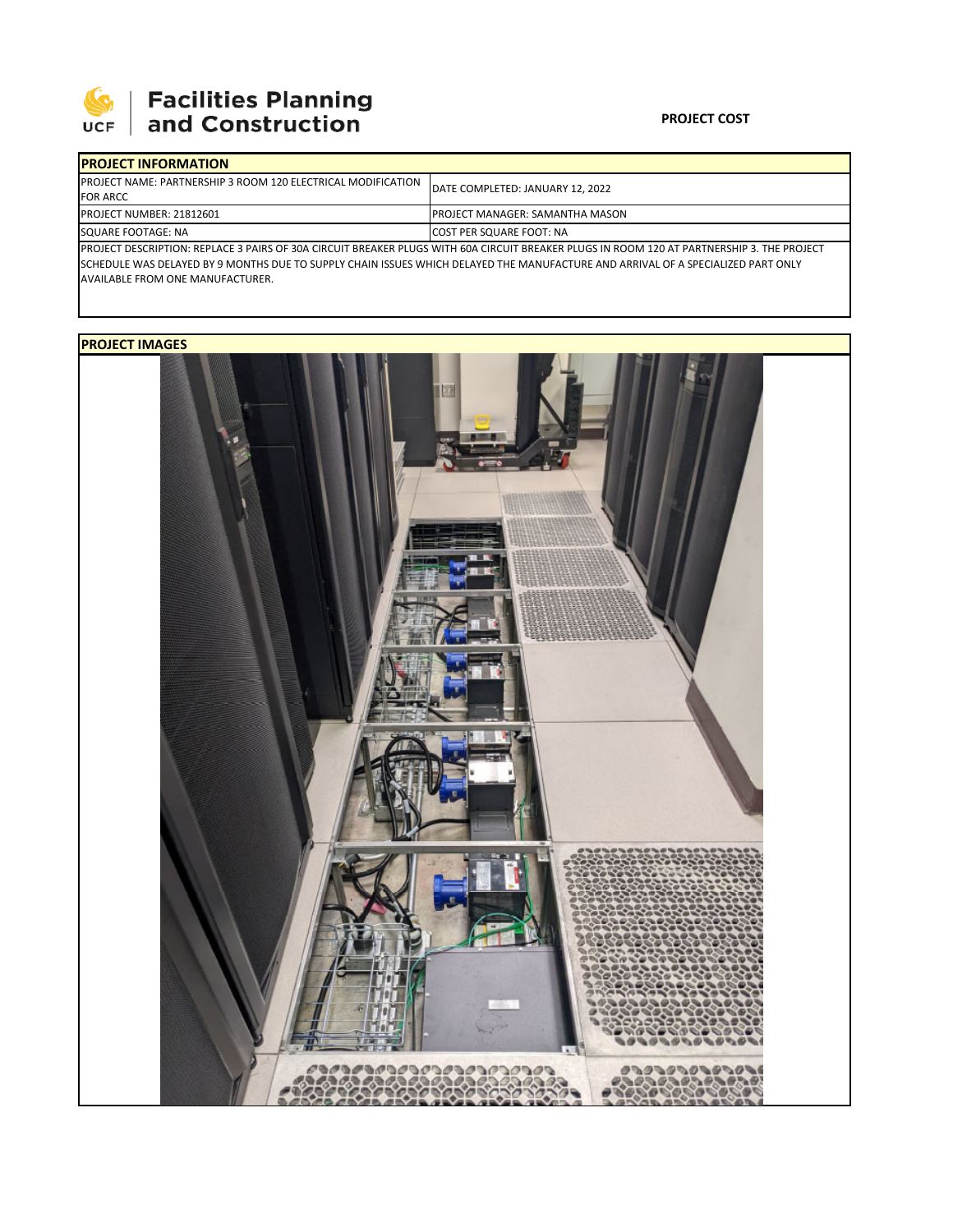

## **SEPTE SECUTE SECULIES Planning**<br>UCF and Construction

## **PROJECT COST**

| <b>IPROJECT INFORMATION</b>                                                                                                                |                                        |  |  |  |
|--------------------------------------------------------------------------------------------------------------------------------------------|----------------------------------------|--|--|--|
| <b>IPROJECT NAME: PARTNERSHIP 3 ROOM 120 ELECTRICAL MODIFICATION</b><br><b>FOR ARCC</b>                                                    | DATE COMPLETED: JANUARY 12, 2022       |  |  |  |
|                                                                                                                                            |                                        |  |  |  |
| <b>PROJECT NUMBER: 21812601</b>                                                                                                            | <b>PROJECT MANAGER: SAMANTHA MASON</b> |  |  |  |
| SQUARE FOOTAGE: NA                                                                                                                         | <b>COST PER SQUARE FOOT: NA</b>        |  |  |  |
| PROJECT DESCRIPTION: REPLACE 3 PAIRS OF 30A CIRCUIT BREAKER PLUGS WITH 60A CIRCUIT BREAKER PLUGS IN ROOM 120 AT PARTNERSHIP 3. THE PROJECT |                                        |  |  |  |

SCHEDULE WAS DELAYED BY 9 MONTHS DUE TO SUPPLY CHAIN ISSUES WHICH DELAYED THE MANUFACTURE AND ARRIVAL OF A SPECIALIZED PART ONLY AVAILABLE FROM ONE MANUFACTURER.

## **PROJECT IMAGES**